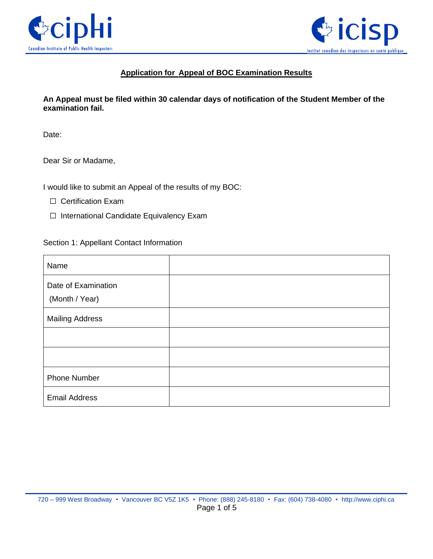



## **Application for Appeal of BOC Examination Results**

**An Appeal must be filed within 30 calendar days of notification of the Student Member of the examination fail.**

Date:

Dear Sir or Madame,

I would like to submit an Appeal of the results of my BOC:

- □ Certification Exam
- ☐ International Candidate Equivalency Exam

Section 1: Appellant Contact Information

| Name                                  |  |
|---------------------------------------|--|
| Date of Examination<br>(Month / Year) |  |
| <b>Mailing Address</b>                |  |
|                                       |  |
|                                       |  |
| <b>Phone Number</b>                   |  |
| <b>Email Address</b>                  |  |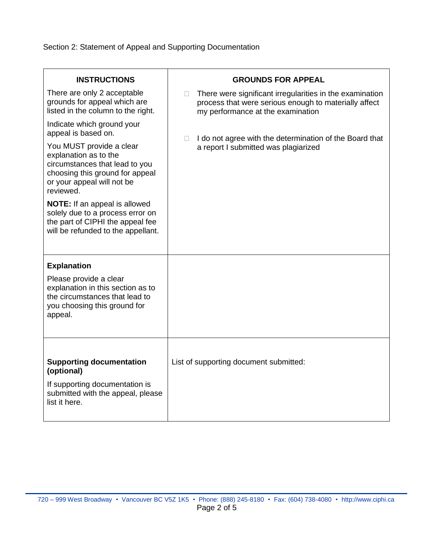Section 2: Statement of Appeal and Supporting Documentation

| <b>INSTRUCTIONS</b>                                                                                                                                               | <b>GROUNDS FOR APPEAL</b>                                                                                                                                    |  |
|-------------------------------------------------------------------------------------------------------------------------------------------------------------------|--------------------------------------------------------------------------------------------------------------------------------------------------------------|--|
| There are only 2 acceptable<br>grounds for appeal which are<br>listed in the column to the right.                                                                 | There were significant irregularities in the examination<br>П.<br>process that were serious enough to materially affect<br>my performance at the examination |  |
| Indicate which ground your<br>appeal is based on.                                                                                                                 | I do not agree with the determination of the Board that<br>П.                                                                                                |  |
| You MUST provide a clear<br>explanation as to the<br>circumstances that lead to you<br>choosing this ground for appeal<br>or your appeal will not be<br>reviewed. | a report I submitted was plagiarized                                                                                                                         |  |
| <b>NOTE:</b> If an appeal is allowed<br>solely due to a process error on<br>the part of CIPHI the appeal fee<br>will be refunded to the appellant.                |                                                                                                                                                              |  |
| <b>Explanation</b>                                                                                                                                                |                                                                                                                                                              |  |
| Please provide a clear<br>explanation in this section as to<br>the circumstances that lead to<br>you choosing this ground for<br>appeal.                          |                                                                                                                                                              |  |
|                                                                                                                                                                   |                                                                                                                                                              |  |
| <b>Supporting documentation</b><br>(optional)                                                                                                                     | List of supporting document submitted:                                                                                                                       |  |
| If supporting documentation is<br>submitted with the appeal, please<br>list it here.                                                                              |                                                                                                                                                              |  |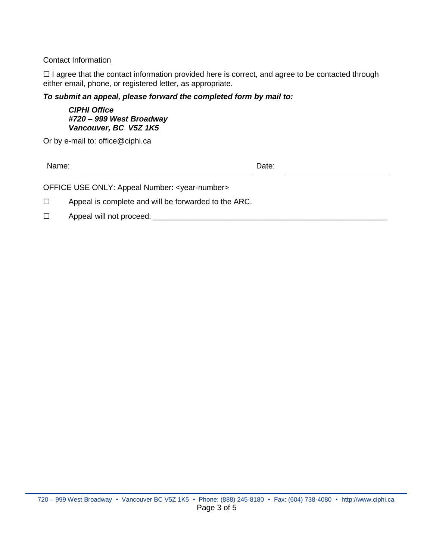## Contact Information

□ I agree that the contact information provided here is correct, and agree to be contacted through either email, phone, or registered letter, as appropriate.

*To submit an appeal, please forward the completed form by mail to:*

*CIPHI Office #720 – 999 West Broadway Vancouver, BC V5Z 1K5*

Or by e-mail to: office@ciphi.ca

Name: **Name:** Date: **Name:** 2008. **Date:** 2008. **Date:** 2008. **Date:** 2008. **Date:** 2008. 2014. 2015. 2016. 2016. 2016. 2017. 2018. 2017. 2018. 2017. 2018. 2017. 2018. 2017. 2018. 2017. 2018. 2017. 2018. 2017. 2018. 2017.

OFFICE USE ONLY: Appeal Number: <year-number>

☐ Appeal is complete and will be forwarded to the ARC.

□ Appeal will not proceed: \_\_\_\_\_\_\_\_\_\_\_\_\_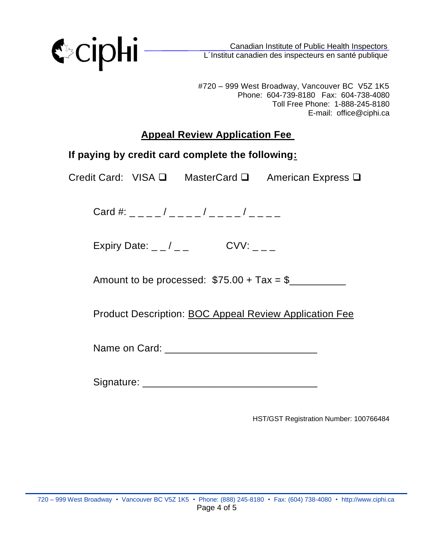

#720 – 999 West Broadway, Vancouver BC V5Z 1K5 Phone: 604-739-8180 Fax: 604-738-4080 Toll Free Phone: 1-888-245-8180 E-mail: office@ciphi.ca

## **Appeal Review Application Fee**

**If paying by credit card complete the following:**

| Credit Card: VISA □ | MasterCard $\square$ | American Express <b>□</b> |
|---------------------|----------------------|---------------------------|
|                     |                      |                           |

Card #:  $\frac{1}{2}$   $\frac{1}{2}$   $\frac{1}{2}$   $\frac{1}{2}$   $\frac{1}{2}$   $\frac{1}{2}$   $\frac{1}{2}$   $\frac{1}{2}$   $\frac{1}{2}$   $\frac{1}{2}$   $\frac{1}{2}$   $\frac{1}{2}$   $\frac{1}{2}$   $\frac{1}{2}$   $\frac{1}{2}$   $\frac{1}{2}$   $\frac{1}{2}$   $\frac{1}{2}$   $\frac{1}{2}$   $\frac{1}{2}$   $\frac{1}{2}$   $\frac$ 

Expiry Date:  $_$   $_$  /  $_$   $_$   $_-$  CVV:  $_$   $_$   $_$ 

Amount to be processed:  $$75.00 + Tax = $$ 

Product Description: BOC Appeal Review Application Fee

Name on Card: \_\_\_\_\_\_\_\_\_\_\_\_\_\_\_\_\_\_\_\_\_\_\_\_\_\_\_

Signature: \_\_\_\_\_\_\_\_\_\_\_\_\_\_\_\_\_\_\_\_\_\_\_\_\_\_\_\_\_\_\_

HST/GST Registration Number: 100766484